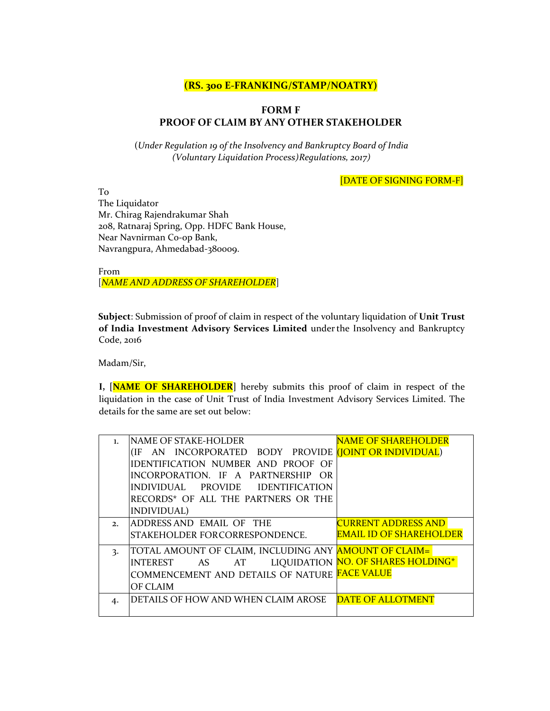## **(RS. 300 E‐FRANKING/STAMP/NOATRY)**

## **FORM F PROOF OF CLAIM BY ANY OTHER STAKEHOLDER**

(*Under Regulation 19 of the Insolvency and Bankruptcy Board of India (Voluntary Liquidation Process)Regulations, 2017)*

[DATE OF SIGNING FORM‐F]

To The Liquidator Mr. Chirag Rajendrakumar Shah 208, Ratnaraj Spring, Opp. HDFC Bank House, Near Navnirman Co‐op Bank, Navrangpura, Ahmedabad‐380009.

From [*NAME AND ADDRESS OF SHAREHOLDER*]

**Subject**: Submission of proof of claim in respect of the voluntary liquidation of **Unit Trust of India Investment Advisory Services Limited** underthe Insolvency and Bankruptcy Code, 2016

Madam/Sir,

**I, [NAME OF SHAREHOLDER]** hereby submits this proof of claim in respect of the liquidation in the case of Unit Trust of India Investment Advisory Services Limited. The details for the same are set out below:

| $\mathbf{1}$ . | <b>NAME OF STAKE-HOLDER</b>                                        | <b>NAME OF SHAREHOLDER</b>         |
|----------------|--------------------------------------------------------------------|------------------------------------|
|                | AN INCORPORATED BODY PROVIDE (JOINT OR INDIVIDUAL)<br>(IF)         |                                    |
|                | IDENTIFICATION NUMBER AND PROOF OF                                 |                                    |
|                | IINCORPORATION. IF A PARTNERSHIP OR                                |                                    |
|                | PROVIDE IDENTIFICATION<br>lindividual.                             |                                    |
|                | RECORDS* OF ALL THE PARTNERS OR THE                                |                                    |
|                | INDIVIDUAL)                                                        |                                    |
| 2.             | <b>JADDRESS AND EMAIL OF THE</b>                                   | <b>CURRENT ADDRESS AND</b>         |
|                | ISTAKEHOLDER FORCORRESPONDENCE.                                    | <b>EMAIL ID OF SHAREHOLDER</b>     |
| 3.             | TOTAL AMOUNT OF CLAIM, INCLUDING ANY <mark>AMOUNT OF CLAIM=</mark> |                                    |
|                | INTEREST<br>AT<br>AS                                               | LIQUIDATION NO. OF SHARES HOLDING* |
|                | COMMENCEMENT AND DETAILS OF NATURE <mark>FACE VALUE</mark>         |                                    |
|                | <b>OF CLAIM</b>                                                    |                                    |
| 4.             | DETAILS OF HOW AND WHEN CLAIM AROSE                                | <b>DATE OF ALLOTMENT</b>           |
|                |                                                                    |                                    |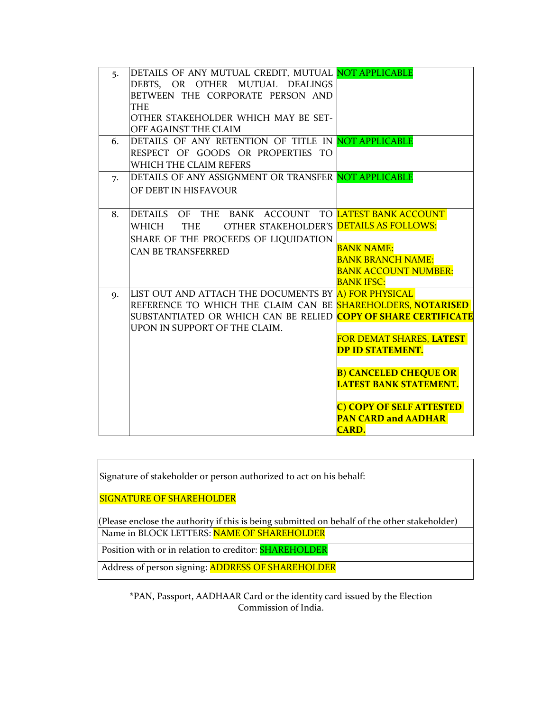| 5.        | DETAILS OF ANY MUTUAL CREDIT, MUTUAL NOT APPLICABLE                         |                               |
|-----------|-----------------------------------------------------------------------------|-------------------------------|
|           | DEBTS, OR OTHER MUTUAL DEALINGS                                             |                               |
|           | BETWEEN THE CORPORATE PERSON AND                                            |                               |
|           | <b>THE</b>                                                                  |                               |
|           | OTHER STAKEHOLDER WHICH MAY BE SET-                                         |                               |
|           | OFF AGAINST THE CLAIM                                                       |                               |
| 6.        | DETAILS OF ANY RETENTION OF TITLE IN NOT APPLICABLE                         |                               |
|           | RESPECT OF GOODS OR PROPERTIES TO                                           |                               |
|           | WHICH THE CLAIM REFERS                                                      |                               |
| 7.        | DETAILS OF ANY ASSIGNMENT OR TRANSFER NOT APPLICABLE                        |                               |
|           | OF DEBT IN HISFAVOUR                                                        |                               |
|           |                                                                             |                               |
| 8.        | DETAILS OF THE BANK ACCOUNT TO LATEST BANK ACCOUNT                          |                               |
|           | OTHER STAKEHOLDER'S DETAILS AS FOLLOWS:<br>WHICH<br><b>THE</b>              |                               |
|           | SHARE OF THE PROCEEDS OF LIQUIDATION                                        |                               |
|           | <b>CAN BE TRANSFERRED</b>                                                   | <b>BANK NAME:</b>             |
|           |                                                                             | <b>BANK BRANCH NAME:</b>      |
|           |                                                                             | <b>BANK ACCOUNT NUMBER:</b>   |
|           |                                                                             | <b>BANK IFSC:</b>             |
| <b>Q.</b> | LIST OUT AND ATTACH THE DOCUMENTS BY A FOR PHYSICAL                         |                               |
|           | REFERENCE TO WHICH THE CLAIM CAN BE SHAREHOLDERS, NOTARISED                 |                               |
|           | SUBSTANTIATED OR WHICH CAN BE RELIED <mark>COPY OF SHARE CERTIFICATE</mark> |                               |
|           | UPON IN SUPPORT OF THE CLAIM.                                               |                               |
|           |                                                                             | FOR DEMAT SHARES, LATEST      |
|           |                                                                             | <b>DP ID STATEMENT.</b>       |
|           |                                                                             |                               |
|           |                                                                             | <b>B) CANCELED CHEQUE OR</b>  |
|           |                                                                             | <b>LATEST BANK STATEMENT.</b> |
|           |                                                                             |                               |
|           |                                                                             | C) COPY OF SELF ATTESTED      |
|           |                                                                             | <b>PAN CARD and AADHAR</b>    |
|           |                                                                             | <b>CARD.</b>                  |

Signature of stakeholder or person authorized to act on his behalf:

SIGNATURE OF SHAREHOLDER

(Please enclose the authority if this is being submitted on behalf of the other stakeholder) Name in BLOCK LETTERS: NAME OF SHAREHOLDER

Position with or in relation to creditor: SHAREHOLDER

Address of person signing: ADDRESS OF SHAREHOLDER

**\***PAN, Passport, AADHAAR Card or the identity card issued by the Election Commission of India.